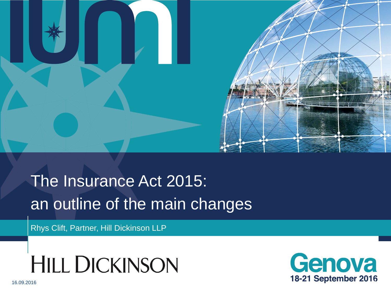

# The Insurance Act 2015: an outline of the main changes

Rhys Clift, Partner, Hill Dickinson LLP

**HILL DICKINSON** 

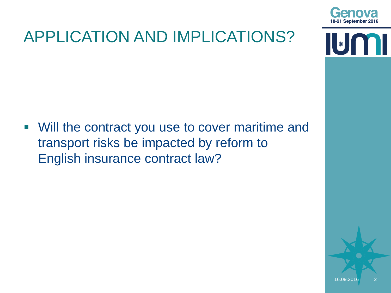

# APPLICATION AND IMPLICATIONS?

 $\begin{bmatrix} \ast \end{bmatrix}$ 

 Will the contract you use to cover maritime and transport risks be impacted by reform to English insurance contract law?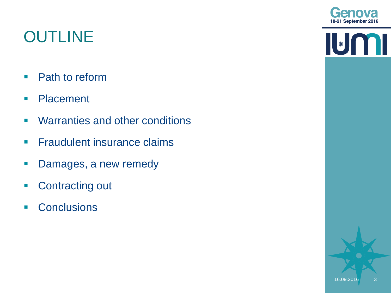## **OUTLINE**

- Path to reform
- **Placement**
- **Warranties and other conditions**
- **Fraudulent insurance claims**
- **-** Damages, a new remedy
- Contracting out
- **Conclusions**



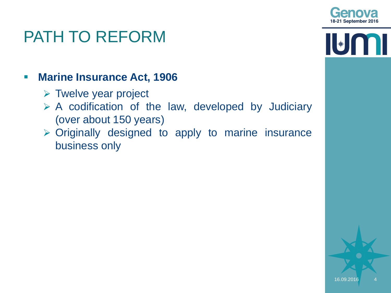

 $\|\|_*\|$ 

### PATH TO REFORM

#### **Marine Insurance Act, 1906**

- $\triangleright$  Twelve year project
- $\triangleright$  A codification of the law, developed by Judiciary (over about 150 years)
- Originally designed to apply to marine insurance business only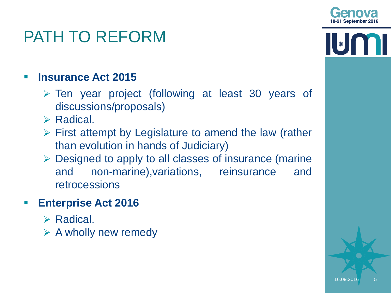

\*

## PATH TO REFORM

#### **Insurance Act 2015**

- Ten year project (following at least 30 years of discussions/proposals)
- $\triangleright$  Radical.
- $\triangleright$  First attempt by Legislature to amend the law (rather than evolution in hands of Judiciary)
- $\triangleright$  Designed to apply to all classes of insurance (marine and non-marine),variations, reinsurance and retrocessions

#### **Enterprise Act 2016**

- $\triangleright$  Radical.
- $\triangleright$  A wholly new remedy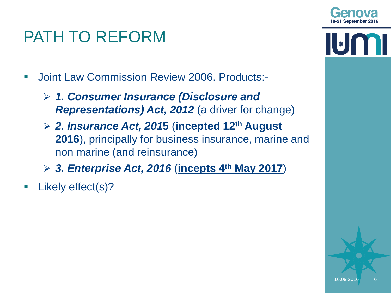

 $\left\| \ast \right\|$ 

## PATH TO REFORM

- Joint Law Commission Review 2006. Products:-
	- *1. Consumer Insurance (Disclosure and Representations) Act, 2012* (a driver for change)
	- *2. Insurance Act, 201***5** (**incepted 12th August 2016**), principally for business insurance, marine and non marine (and reinsurance)
	- *3. Enterprise Act, 2016* (**incepts 4th May 2017**)
- **Likely effect(s)?**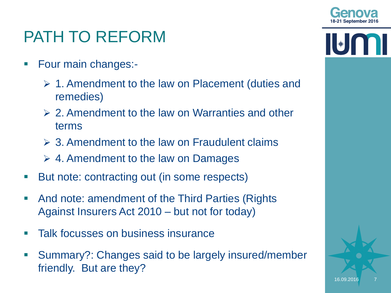

## PATH TO REFORM

- **Four main changes:-**
	- $\geq 1$ . Amendment to the law on Placement (duties and remedies)
	- $\geq 2$ . Amendment to the law on Warranties and other terms
	- $\geq 3$ . Amendment to the law on Fraudulent claims
	- $\geq 4$ . Amendment to the law on Damages
- But note: contracting out (in some respects)
- And note: amendment of the Third Parties (Rights Against Insurers Act 2010 – but not for today)
- **Talk focusses on business insurance**
- Summary?: Changes said to be largely insured/member friendly. But are they?

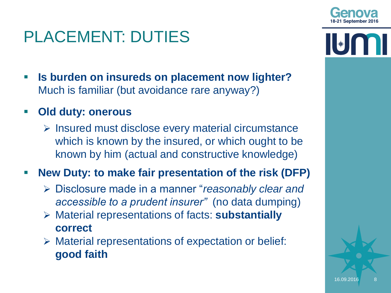

- **Is burden on insureds on placement now lighter?**  Much is familiar (but avoidance rare anyway?)
- **Old duty: onerous**
	- $\triangleright$  Insured must disclose every material circumstance which is known by the insured, or which ought to be known by him (actual and constructive knowledge)
- **New Duty: to make fair presentation of the risk (DFP)**
	- Disclosure made in a manner "*reasonably clear and accessible to a prudent insurer"* (no data dumping)
	- Material representations of facts: **substantially correct**
	- $\triangleright$  Material representations of expectation or belief: **good faith**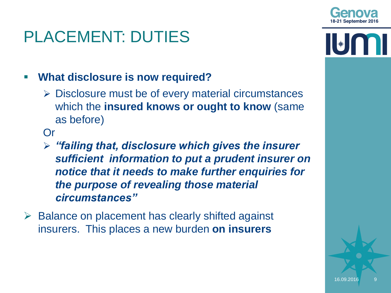#### **What disclosure is now required?**

 $\triangleright$  Disclosure must be of every material circumstances which the **insured knows or ought to know** (same as before)

Or

- *"failing that, disclosure which gives the insurer sufficient information to put a prudent insurer on notice that it needs to make further enquiries for the purpose of revealing those material circumstances"*
- $\triangleright$  Balance on placement has clearly shifted against insurers. This places a new burden **on insurers**



 $\left\| \ast \right\|$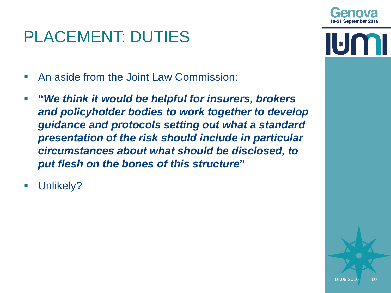

 $\left\| \ast \right\|$ 

# PLACEMENT: DUTIES

- An aside from the Joint Law Commission:
- **"***We think it would be helpful for insurers, brokers and policyholder bodies to work together to develop guidance and protocols setting out what a standard presentation of the risk should include in particular circumstances about what should be disclosed, to put flesh on the bones of this structure***"**
- Unlikely?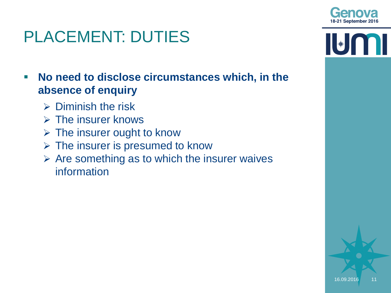

 **No need to disclose circumstances which, in the absence of enquiry**

- $\triangleright$  Diminish the risk
- $\triangleright$  The insurer knows
- $\triangleright$  The insurer ought to know
- $\triangleright$  The insurer is presumed to know
- $\triangleright$  Are something as to which the insurer waives information

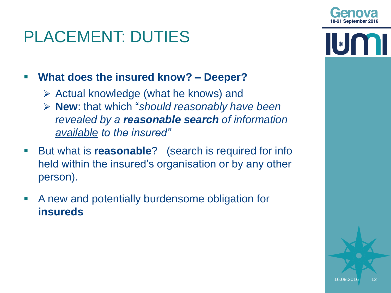

- $\triangleright$  Actual knowledge (what he knows) and
- **New**: that which "*should reasonably have been revealed by a reasonable search of information available to the insured"*
- **But what is reasonable?** (search is required for info held within the insured's organisation or by any other person).
- A new and potentially burdensome obligation for **insureds**



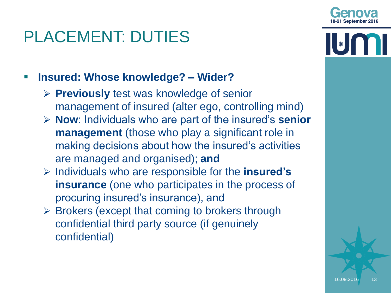

- **Previously** test was knowledge of senior management of insured (alter ego, controlling mind)
- **Now**: Individuals who are part of the insured's **senior management** (those who play a significant role in making decisions about how the insured's activities are managed and organised); **and**
- Individuals who are responsible for the **insured's insurance** (one who participates in the process of procuring insured's insurance), and
- $\triangleright$  Brokers (except that coming to brokers through confidential third party source (if genuinely confidential)

\*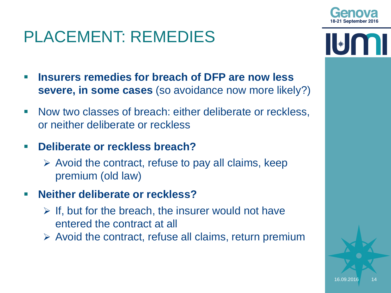### PLACEMENT: REMEDIES

- **Insurers remedies for breach of DFP are now less severe, in some cases** (so avoidance now more likely?)
- **Now two classes of breach: either deliberate or reckless,** or neither deliberate or reckless
- **Deliberate or reckless breach?**
	- $\triangleright$  Avoid the contract, refuse to pay all claims, keep premium (old law)
- **Neither deliberate or reckless?** 
	- $\triangleright$  If, but for the breach, the insurer would not have entered the contract at all
	- $\triangleright$  Avoid the contract, refuse all claims, return premium



 $\left\| \ast \right\|$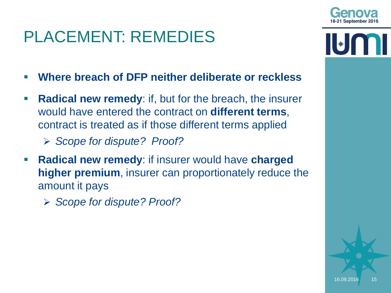| | ★ |

## PLACEMENT: REMEDIES

- **Where breach of DFP neither deliberate or reckless**
- **Radical new remedy:** if, but for the breach, the insurer would have entered the contract on **different terms**, contract is treated as if those different terms applied
	- *Scope for dispute? Proof?*
- **Radical new remedy**: if insurer would have **charged higher premium**, insurer can proportionately reduce the amount it pays
	- *Scope for dispute? Proof?*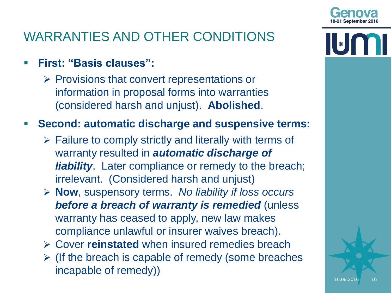

- **First: "Basis clauses":**
	- $\triangleright$  Provisions that convert representations or information in proposal forms into warranties (considered harsh and unjust). **Abolished**.

#### **Second: automatic discharge and suspensive terms:**

- $\triangleright$  Failure to comply strictly and literally with terms of warranty resulted in *automatic discharge of liability*. Later compliance or remedy to the breach; irrelevant. (Considered harsh and unjust)
- **Now**, suspensory terms. *No liability if loss occurs before a breach of warranty is remedied* (unless warranty has ceased to apply, new law makes compliance unlawful or insurer waives breach).
- Cover **reinstated** when insured remedies breach
- $\triangleright$  (If the breach is capable of remedy (some breaches incapable of remedy))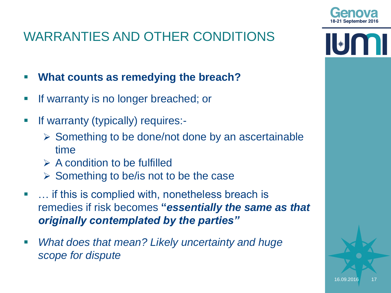- **What counts as remedying the breach?**
- **If warranty is no longer breached; or**
- **If warranty (typically) requires:-**
	- $\triangleright$  Something to be done/not done by an ascertainable time
	- $\triangleright$  A condition to be fulfilled
	- $\triangleright$  Something to be/is not to be the case
- ... if this is complied with, nonetheless breach is remedies if risk becomes **"***essentially the same as that originally contemplated by the parties"*
- *What does that mean? Likely uncertainty and huge scope for dispute*



| | ★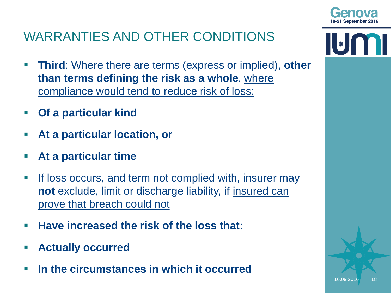

- **Third**: Where there are terms (express or implied), **other than terms defining the risk as a whole**, where compliance would tend to reduce risk of loss:
- **Of a particular kind**
- **At a particular location, or**
- **At a particular time**
- **If loss occurs, and term not complied with, insurer may not** exclude, limit or discharge liability, if insured can prove that breach could not
- **Have increased the risk of the loss that:**
- **Actually occurred**
- **In the circumstances in which it occurred**

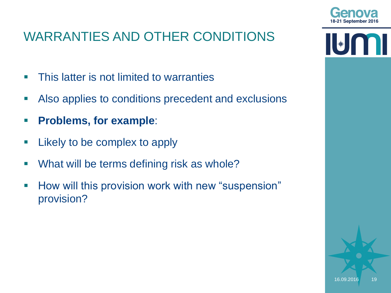- **This latter is not limited to warranties**
- Also applies to conditions precedent and exclusions
- **Problems, for example**:
- **E** Likely to be complex to apply
- **What will be terms defining risk as whole?**
- **How will this provision work with new "suspension"** provision?



 $\left\| \left[ \ast \right] \right\|$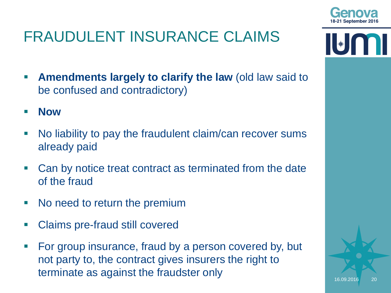





- **Amendments largely to clarify the law (old law said to**  $\blacksquare$ be confused and contradictory)
- **Now**
- No liability to pay the fraudulent claim/can recover sums already paid
- Can by notice treat contract as terminated from the date of the fraud
- No need to return the premium
- Claims pre-fraud still covered
- For group insurance, fraud by a person covered by, but not party to, the contract gives insurers the right to terminate as against the fraudster only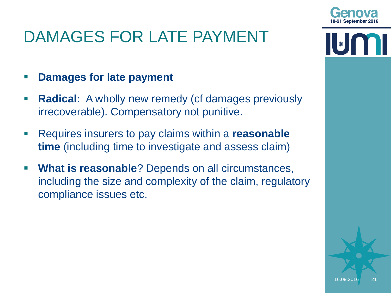## DAMAGES FOR LATE PAYMENT

#### **Damages for late payment**

- **Radical:** A wholly new remedy (cf damages previously irrecoverable). Compensatory not punitive.
- Requires insurers to pay claims within a **reasonable time** (including time to investigate and assess claim)
- **What is reasonable**? Depends on all circumstances, including the size and complexity of the claim, regulatory compliance issues etc.

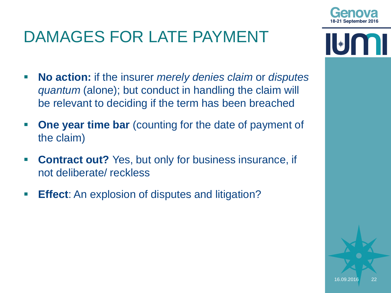## DAMAGES FOR LATE PAYMENT

- **No action:** if the insurer *merely denies claim* or *disputes quantum* (alone); but conduct in handling the claim will be relevant to deciding if the term has been breached
- **Profille 1 Sear Sear ime bar** (counting for the date of payment of the claim)
- **Contract out?** Yes, but only for business insurance, if not deliberate/ reckless
- **Effect:** An explosion of disputes and litigation?

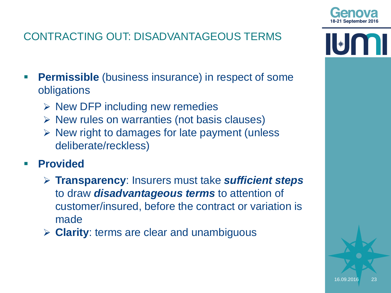

#### CONTRACTING OUT: DISADVANTAGEOUS TERMS

- **Permissible** (business insurance) in respect of some obligations
	- $\triangleright$  New DFP including new remedies
	- $\triangleright$  New rules on warranties (not basis clauses)
	- $\triangleright$  New right to damages for late payment (unless deliberate/reckless)
- **Provided**
	- **Transparency**: Insurers must take *sufficient steps* to draw *disadvantageous terms* to attention of customer/insured, before the contract or variation is made
	- **Clarity**: terms are clear and unambiguous

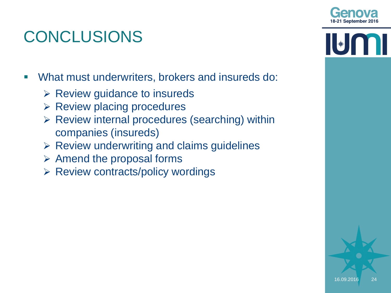

 $\|\|_*\|$ 

# CONCLUSIONS

What must underwriters, brokers and insureds do:

- $\triangleright$  Review guidance to insureds
- $\triangleright$  Review placing procedures
- $\triangleright$  Review internal procedures (searching) within companies (insureds)
- $\triangleright$  Review underwriting and claims guidelines
- $\triangleright$  Amend the proposal forms
- $\triangleright$  Review contracts/policy wordings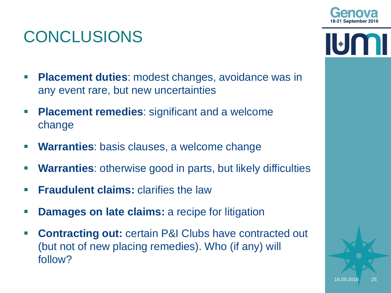

### CONCLUSIONS

- **Placement duties**: modest changes, avoidance was in any event rare, but new uncertainties
- **Placement remedies:** significant and a welcome change
- **Warranties**: basis clauses, a welcome change
- **Warranties**: otherwise good in parts, but likely difficulties
- **Fraudulent claims:** clarifies the law
- **Damages on late claims:** a recipe for litigation
- **Contracting out: certain P&I Clubs have contracted out** (but not of new placing remedies). Who (if any) will follow?